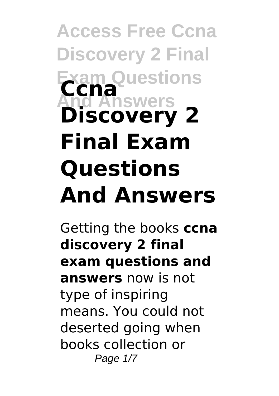**Access Free Ccna Discovery 2 Final Exam Questions And Answers Ccna Discovery 2 Final Exam Questions And Answers**

Getting the books **ccna discovery 2 final exam questions and answers** now is not type of inspiring means. You could not deserted going when books collection or Page 1/7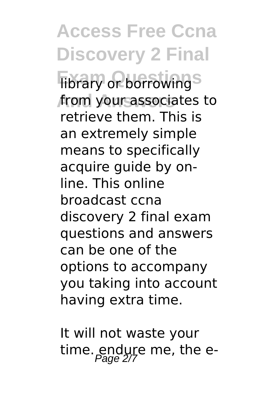**Access Free Ccna Discovery 2 Final Fibrary or borrowing** from your associates to retrieve them. This is an extremely simple means to specifically acquire guide by online. This online broadcast ccna discovery 2 final exam questions and answers can be one of the options to accompany you taking into account having extra time.

It will not waste your time. endure me, the e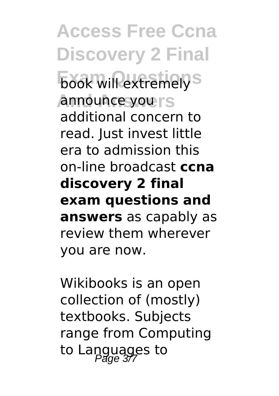**Access Free Ccna Discovery 2 Final Examely** S **And Answers** announce you additional concern to read. Just invest little era to admission this on-line broadcast **ccna discovery 2 final exam questions and answers** as capably as review them wherever you are now.

Wikibooks is an open collection of (mostly) textbooks. Subjects range from Computing to Languages to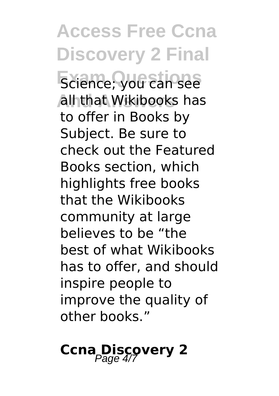**Access Free Ccna Discovery 2 Final Exience; you can see And Answers** all that Wikibooks has to offer in Books by Subject. Be sure to check out the Featured Books section, which highlights free books that the Wikibooks community at large believes to be "the best of what Wikibooks has to offer, and should inspire people to improve the quality of other books."

**Ccna Discovery 2**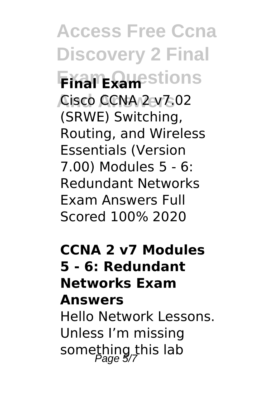**Access Free Ccna Discovery 2 Final Exam Questions Final Exam And Answers** Cisco CCNA 2 v7.02 (SRWE) Switching, Routing, and Wireless Essentials (Version 7.00) Modules 5 - 6: Redundant Networks Exam Answers Full Scored 100% 2020

**CCNA 2 v7 Modules 5 - 6: Redundant Networks Exam Answers**

Hello Network Lessons. Unless I'm missing something this lab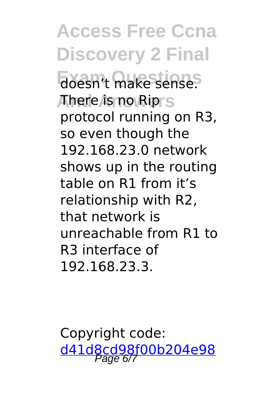**Access Free Ccna Discovery 2 Final** doesn't make sense. **And Answers** There is no Rip protocol running on R3, so even though the 192.168.23.0 network shows up in the routing table on R1 from it's relationship with R2, that network is unreachable from R1 to R3 interface of 192.168.23.3.

Copyright code: [d41d8cd98f00b204e98](/sitemap.xml)